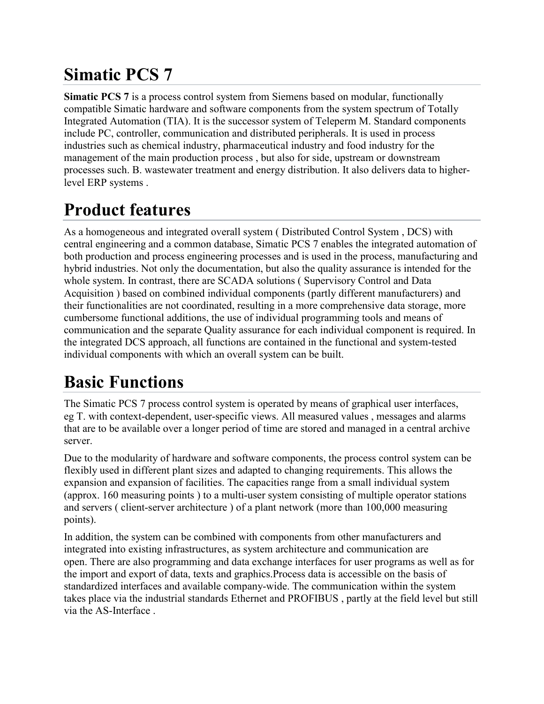## **Simatic PCS 7**

**Simatic PCS 7** is a process control system from Siemens based on modular, functionally compatible Simatic hardware and software components from the system spectrum of Totally Integrated Automation (TIA). It is the successor system of Teleperm M. Standard components include PC, controller, communication and distributed peripherals. It is used in process industries such as chemical industry, pharmaceutical industry and food industry for the management of the main production process , but also for side, upstream or downstream processes such. B. wastewater treatment and energy distribution. It also delivers data to higherlevel ERP systems .

## **Product features**

As a homogeneous and integrated overall system ( Distributed Control System , DCS) with central engineering and a common database, Simatic PCS 7 enables the integrated automation of both production and process engineering processes and is used in the process, manufacturing and hybrid industries. Not only the documentation, but also the quality assurance is intended for the whole system. In contrast, there are SCADA solutions ( Supervisory Control and Data Acquisition ) based on combined individual components (partly different manufacturers) and their functionalities are not coordinated, resulting in a more comprehensive data storage, more cumbersome functional additions, the use of individual programming tools and means of communication and the separate Quality assurance for each individual component is required. In the integrated DCS approach, all functions are contained in the functional and system-tested individual components with which an overall system can be built.

## **Basic Functions**

The Simatic PCS 7 process control system is operated by means of graphical user interfaces, eg T. with context-dependent, user-specific views. All measured values , messages and alarms that are to be available over a longer period of time are stored and managed in a central archive server.

Due to the modularity of hardware and software components, the process control system can be flexibly used in different plant sizes and adapted to changing requirements. This allows the expansion and expansion of facilities. The capacities range from a small individual system (approx. 160 measuring points ) to a multi-user system consisting of multiple operator stations and servers ( client-server architecture ) of a plant network (more than 100,000 measuring points).

In addition, the system can be combined with components from other manufacturers and integrated into existing infrastructures, as system architecture and communication are open. There are also programming and data exchange interfaces for user programs as well as for the import and export of data, texts and graphics.Process data is accessible on the basis of standardized interfaces and available company-wide. The communication within the system takes place via the industrial standards Ethernet and PROFIBUS , partly at the field level but still via the AS-Interface .